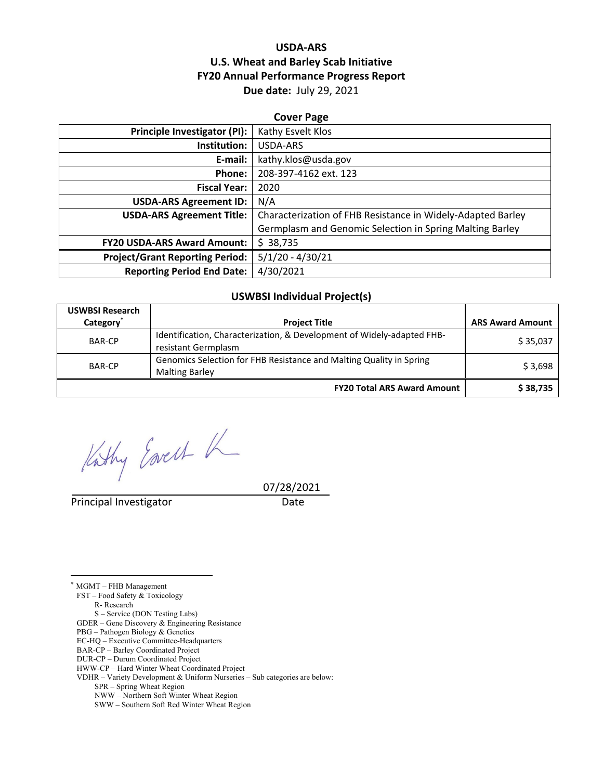## **USDA‐ARS U.S. Wheat and Barley Scab Initiative FY20 Annual Performance Progress Report Due date:** July 29, 2021

| <b>Cover Page</b>                      |                                                             |  |  |
|----------------------------------------|-------------------------------------------------------------|--|--|
| Principle Investigator (PI):           | Kathy Esvelt Klos                                           |  |  |
| Institution:                           | USDA-ARS                                                    |  |  |
| E-mail:                                | kathy.klos@usda.gov                                         |  |  |
| Phone:                                 | 208-397-4162 ext. 123                                       |  |  |
| <b>Fiscal Year:</b>                    | 2020                                                        |  |  |
| <b>USDA-ARS Agreement ID:</b>          | N/A                                                         |  |  |
| <b>USDA-ARS Agreement Title:</b>       | Characterization of FHB Resistance in Widely-Adapted Barley |  |  |
|                                        | Germplasm and Genomic Selection in Spring Malting Barley    |  |  |
| <b>FY20 USDA-ARS Award Amount:</b>     | \$38,735                                                    |  |  |
| <b>Project/Grant Reporting Period:</b> | $5/1/20 - 4/30/21$                                          |  |  |
| <b>Reporting Period End Date:</b>      | 4/30/2021                                                   |  |  |

#### **USWBSI Individual Project(s)**

| <b>USWBSI Research</b><br>Category <sup>*</sup> | <b>Project Title</b>                                                                          | <b>ARS Award Amount</b> |
|-------------------------------------------------|-----------------------------------------------------------------------------------------------|-------------------------|
|                                                 |                                                                                               |                         |
| <b>BAR-CP</b>                                   | Identification, Characterization, & Development of Widely-adapted FHB-<br>resistant Germplasm | \$35,037                |
| <b>BAR-CP</b>                                   | Genomics Selection for FHB Resistance and Malting Quality in Spring<br><b>Malting Barley</b>  | \$3,698                 |
|                                                 | <b>FY20 Total ARS Award Amount</b>                                                            | \$38,735                |

Kithy Eareth K

Principal Investigator **Date** 

07/28/2021

FST – Food Safety & Toxicology

R- Research

 $\overline{a}$ 

S – Service (DON Testing Labs)

GDER – Gene Discovery & Engineering Resistance

PBG – Pathogen Biology & Genetics

EC-HQ – Executive Committee-Headquarters

BAR-CP – Barley Coordinated Project

DUR-CP – Durum Coordinated Project

HWW-CP – Hard Winter Wheat Coordinated Project

VDHR – Variety Development & Uniform Nurseries – Sub categories are below:

SPR – Spring Wheat Region

NWW – Northern Soft Winter Wheat Region

SWW – Southern Soft Red Winter Wheat Region

<sup>\*</sup> MGMT – FHB Management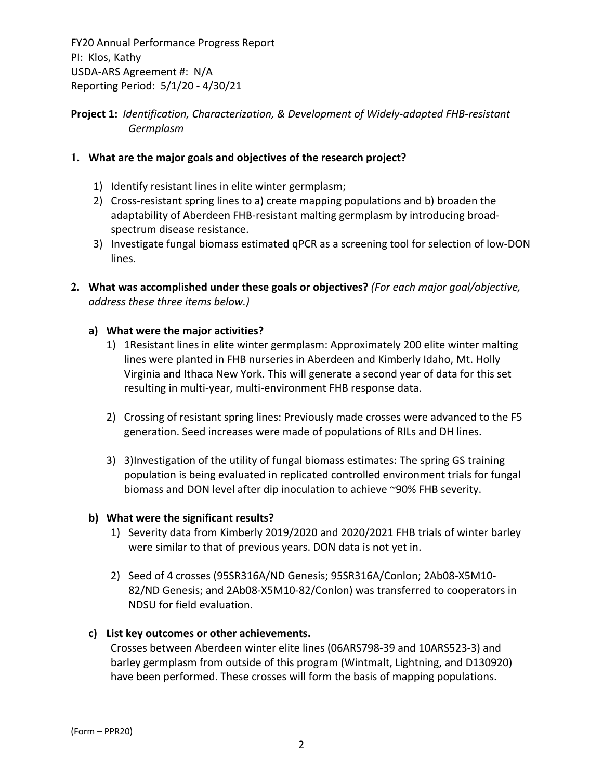# **Project 1:** *Identification, Characterization, & Development of Widely‐adapted FHB‐resistant Germplasm*

# **1. What are the major goals and objectives of the research project?**

- 1) Identify resistant lines in elite winter germplasm;
- 2) Cross-resistant spring lines to a) create mapping populations and b) broaden the adaptability of Aberdeen FHB‐resistant malting germplasm by introducing broad‐ spectrum disease resistance.
- 3) Investigate fungal biomass estimated qPCR as a screening tool for selection of low‐DON lines.
- **2. What was accomplished under these goals or objectives?** *(For each major goal/objective, address these three items below.)*

# **a) What were the major activities?**

- 1) 1Resistant lines in elite winter germplasm: Approximately 200 elite winter malting lines were planted in FHB nurseries in Aberdeen and Kimberly Idaho, Mt. Holly Virginia and Ithaca New York. This will generate a second year of data for this set resulting in multi‐year, multi‐environment FHB response data.
- 2) Crossing of resistant spring lines: Previously made crosses were advanced to the F5 generation. Seed increases were made of populations of RILs and DH lines.
- 3) 3)Investigation of the utility of fungal biomass estimates: The spring GS training population is being evaluated in replicated controlled environment trials for fungal biomass and DON level after dip inoculation to achieve ~90% FHB severity.

## **b) What were the significant results?**

- 1) Severity data from Kimberly 2019/2020 and 2020/2021 FHB trials of winter barley were similar to that of previous years. DON data is not yet in.
- 2) Seed of 4 crosses (95SR316A/ND Genesis; 95SR316A/Conlon; 2Ab08‐X5M10‐ 82/ND Genesis; and 2Ab08‐X5M10‐82/Conlon) was transferred to cooperators in NDSU for field evaluation.

## **c) List key outcomes or other achievements.**

Crosses between Aberdeen winter elite lines (06ARS798‐39 and 10ARS523‐3) and barley germplasm from outside of this program (Wintmalt, Lightning, and D130920) have been performed. These crosses will form the basis of mapping populations.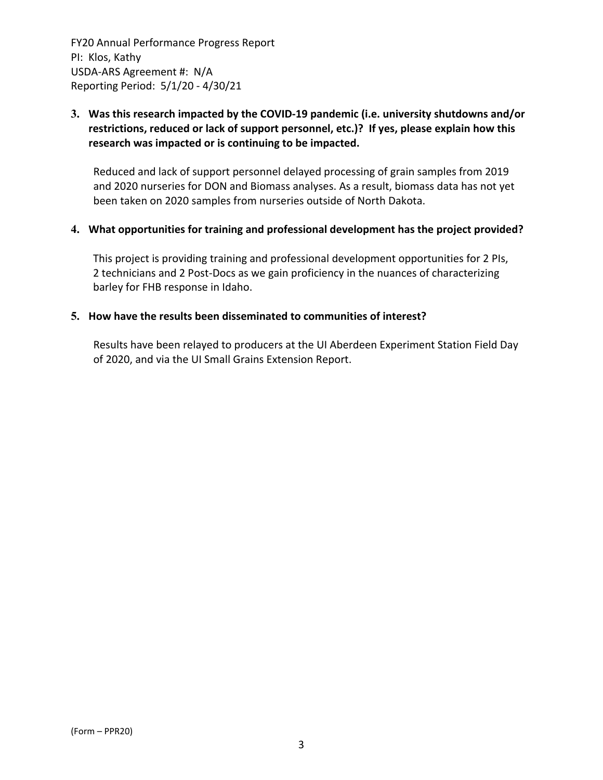# **3. Was this research impacted by the COVID‐19 pandemic (i.e. university shutdowns and/or restrictions, reduced or lack of support personnel, etc.)? If yes, please explain how this research was impacted or is continuing to be impacted.**

Reduced and lack of support personnel delayed processing of grain samples from 2019 and 2020 nurseries for DON and Biomass analyses. As a result, biomass data has not yet been taken on 2020 samples from nurseries outside of North Dakota.

#### **4. What opportunities for training and professional development has the project provided?**

This project is providing training and professional development opportunities for 2 PIs, 2 technicians and 2 Post‐Docs as we gain proficiency in the nuances of characterizing barley for FHB response in Idaho.

#### **5. How have the results been disseminated to communities of interest?**

Results have been relayed to producers at the UI Aberdeen Experiment Station Field Day of 2020, and via the UI Small Grains Extension Report.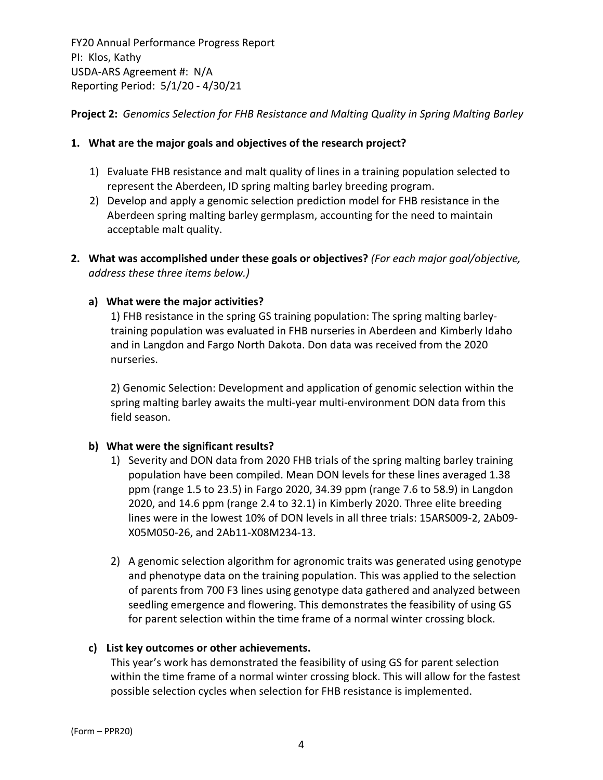**Project 2:** *Genomics Selection for FHB Resistance and Malting Quality in Spring Malting Barley*

## **1. What are the major goals and objectives of the research project?**

- 1) Evaluate FHB resistance and malt quality of lines in a training population selected to represent the Aberdeen, ID spring malting barley breeding program.
- 2) Develop and apply a genomic selection prediction model for FHB resistance in the Aberdeen spring malting barley germplasm, accounting for the need to maintain acceptable malt quality.
- **2. What was accomplished under these goals or objectives?** *(For each major goal/objective, address these three items below.)*

## **a) What were the major activities?**

1) FHB resistance in the spring GS training population: The spring malting barley‐ training population was evaluated in FHB nurseries in Aberdeen and Kimberly Idaho and in Langdon and Fargo North Dakota. Don data was received from the 2020 nurseries.

2) Genomic Selection: Development and application of genomic selection within the spring malting barley awaits the multi-year multi-environment DON data from this field season.

## **b) What were the significant results?**

- 1) Severity and DON data from 2020 FHB trials of the spring malting barley training population have been compiled. Mean DON levels for these lines averaged 1.38 ppm (range 1.5 to 23.5) in Fargo 2020, 34.39 ppm (range 7.6 to 58.9) in Langdon 2020, and 14.6 ppm (range 2.4 to 32.1) in Kimberly 2020. Three elite breeding lines were in the lowest 10% of DON levels in all three trials: 15ARS009‐2, 2Ab09‐ X05M050‐26, and 2Ab11‐X08M234‐13.
- 2) A genomic selection algorithm for agronomic traits was generated using genotype and phenotype data on the training population. This was applied to the selection of parents from 700 F3 lines using genotype data gathered and analyzed between seedling emergence and flowering. This demonstrates the feasibility of using GS for parent selection within the time frame of a normal winter crossing block.

# **c) List key outcomes or other achievements.**

This year's work has demonstrated the feasibility of using GS for parent selection within the time frame of a normal winter crossing block. This will allow for the fastest possible selection cycles when selection for FHB resistance is implemented.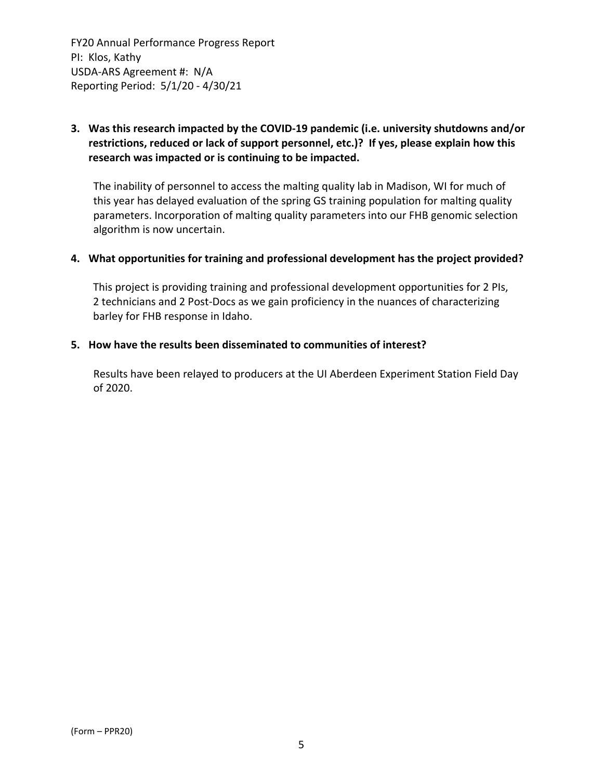# **3. Was this research impacted by the COVID‐19 pandemic (i.e. university shutdowns and/or restrictions, reduced or lack of support personnel, etc.)? If yes, please explain how this research was impacted or is continuing to be impacted.**

The inability of personnel to access the malting quality lab in Madison, WI for much of this year has delayed evaluation of the spring GS training population for malting quality parameters. Incorporation of malting quality parameters into our FHB genomic selection algorithm is now uncertain.

#### **4. What opportunities for training and professional development has the project provided?**

This project is providing training and professional development opportunities for 2 PIs, 2 technicians and 2 Post‐Docs as we gain proficiency in the nuances of characterizing barley for FHB response in Idaho.

#### **5. How have the results been disseminated to communities of interest?**

Results have been relayed to producers at the UI Aberdeen Experiment Station Field Day of 2020.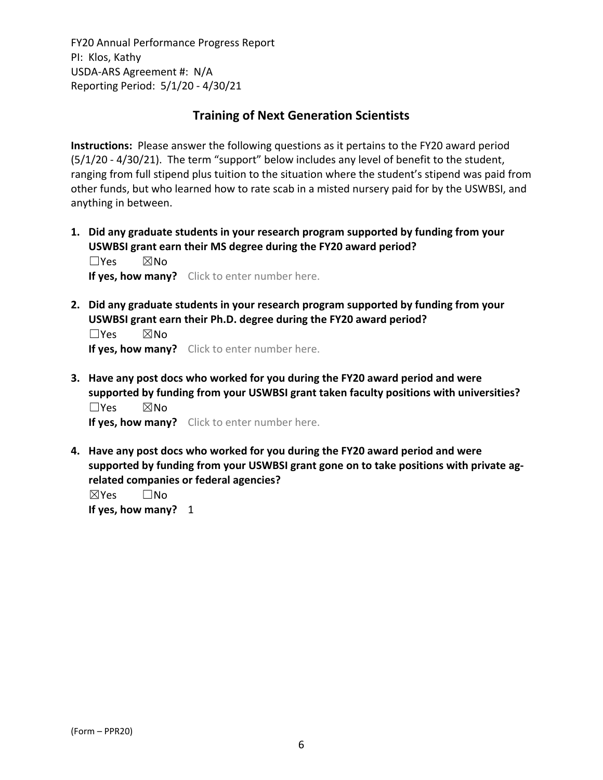# **Training of Next Generation Scientists**

**Instructions:** Please answer the following questions as it pertains to the FY20 award period (5/1/20 ‐ 4/30/21). The term "support" below includes any level of benefit to the student, ranging from full stipend plus tuition to the situation where the student's stipend was paid from other funds, but who learned how to rate scab in a misted nursery paid for by the USWBSI, and anything in between.

**1. Did any graduate students in your research program supported by funding from your USWBSI grant earn their MS degree during the FY20 award period?** ☐Yes ☒No

**If yes, how many?** Click to enter number here.

**2. Did any graduate students in your research program supported by funding from your USWBSI grant earn their Ph.D. degree during the FY20 award period?**

☐Yes ☒No **If yes, how many?** Click to enter number here.

**3. Have any post docs who worked for you during the FY20 award period and were supported by funding from your USWBSI grant taken faculty positions with universities?** ☐Yes ☒No

**If yes, how many?** Click to enter number here.

**4. Have any post docs who worked for you during the FY20 award period and were supported by funding from your USWBSI grant gone on to take positions with private ag‐ related companies or federal agencies?**

☒Yes ☐No **If yes, how many?** 1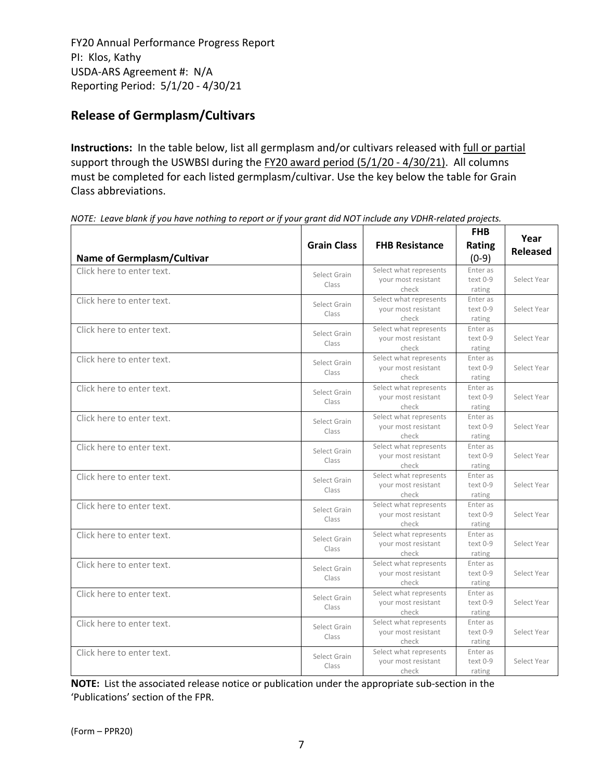# **Release of Germplasm/Cultivars**

**Instructions:** In the table below, list all germplasm and/or cultivars released with full or partial support through the USWBSI during the FY20 award period (5/1/20 - 4/30/21). All columns must be completed for each listed germplasm/cultivar. Use the key below the table for Grain Class abbreviations. 

| <b>Name of Germplasm/Cultivar</b> | <b>Grain Class</b>    | <b>FHB Resistance</b>                                  | <b>FHB</b><br><b>Rating</b><br>$(0-9)$ | Year<br><b>Released</b> |
|-----------------------------------|-----------------------|--------------------------------------------------------|----------------------------------------|-------------------------|
| Click here to enter text.         | Select Grain<br>Class | Select what represents<br>your most resistant<br>check | Enter as<br>text 0-9<br>rating         | Select Year             |
| Click here to enter text.         | Select Grain<br>Class | Select what represents<br>your most resistant<br>check | Enter as<br>text 0-9<br>rating         | Select Year             |
| Click here to enter text.         | Select Grain<br>Class | Select what represents<br>your most resistant<br>check | Enter as<br>text 0-9<br>rating         | Select Year             |
| Click here to enter text.         | Select Grain<br>Class | Select what represents<br>your most resistant<br>check | Enter as<br>text 0-9<br>rating         | Select Year             |
| Click here to enter text.         | Select Grain<br>Class | Select what represents<br>your most resistant<br>check | Enter as<br>text 0-9<br>rating         | Select Year             |
| Click here to enter text.         | Select Grain<br>Class | Select what represents<br>your most resistant<br>check | Enter as<br>text 0-9<br>rating         | Select Year             |
| Click here to enter text.         | Select Grain<br>Class | Select what represents<br>your most resistant<br>check | Enter as<br>text 0-9<br>rating         | Select Year             |
| Click here to enter text.         | Select Grain<br>Class | Select what represents<br>your most resistant<br>check | Enter as<br>text 0-9<br>rating         | Select Year             |
| Click here to enter text.         | Select Grain<br>Class | Select what represents<br>your most resistant<br>check | Enter as<br>text 0-9<br>rating         | Select Year             |
| Click here to enter text.         | Select Grain<br>Class | Select what represents<br>your most resistant<br>check | Enter as<br>text 0-9<br>rating         | Select Year             |
| Click here to enter text.         | Select Grain<br>Class | Select what represents<br>your most resistant<br>check | Enter as<br>text 0-9<br>rating         | Select Year             |
| Click here to enter text.         | Select Grain<br>Class | Select what represents<br>your most resistant<br>check | Enter as<br>text 0-9<br>rating         | Select Year             |
| Click here to enter text.         | Select Grain<br>Class | Select what represents<br>your most resistant<br>check | Enter as<br>text 0-9<br>rating         | Select Year             |
| Click here to enter text.         | Select Grain<br>Class | Select what represents<br>your most resistant<br>check | Enter as<br>text 0-9<br>rating         | Select Year             |

NOTE: Leave blank if you have nothing to report or if your grant did NOT include any VDHR-related projects.

**NOTE:** List the associated release notice or publication under the appropriate sub-section in the 'Publications' section of the FPR.